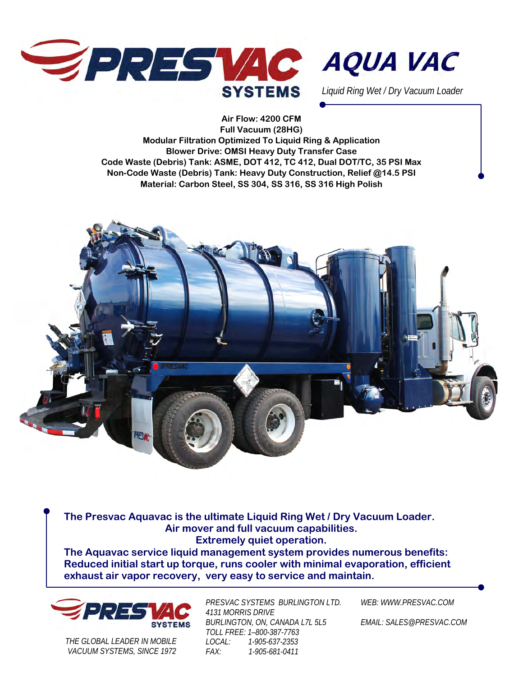



*Liquid Ring Wet / Dry Vacuum Loader* 

**Air Flow: 4200 CFM Full Vacuum (28HG) Modular Filtration Optimized To Liquid Ring & Application Blower Drive: OMSI Heavy Duty Transfer Case Code Waste (Debris) Tank: ASME, DOT 412, TC 412, Dual DOT/TC, 35 PSI Max Non-Code Waste (Debris) Tank: Heavy Duty Construction, Relief @14.5 PSI Material: Carbon Steel, SS 304, SS 316, SS 316 High Polish** 



**The Presvac Aquavac is the ultimate Liquid Ring Wet / Dry Vacuum Loader. Air mover and full vacuum capabilities. Extremely quiet operation.** 

**The Aquavac service liquid management system provides numerous benefits: Reduced initial start up torque, runs cooler with minimal evaporation, efficient exhaust air vapor recovery, very easy to service and maintain.** 



*THE GLOBAL LEADER IN MOBILE VACUUM SYSTEMS, SINCE 1972*  *PRESVAC SYSTEMS BURLINGTON LTD. 4131 MORRIS DRIVE BURLINGTON, ON, CANADA L7L 5L5 TOLL FREE: 1–800-387-7763 LOCAL: 1-905-637-2353 FAX: 1-905-681-0411* 

*WEB: WWW.PRESVAC.COM* 

*EMAIL: SALES@PRESVAC.COM*